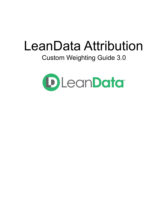# LeanData Attribution

## Custom Weighting Guide 3.0

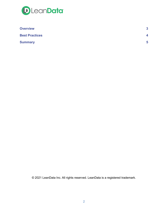

| <b>Overview</b>       | $\mathbf{3}$ |
|-----------------------|--------------|
| <b>Best Practices</b> |              |
| <b>Summary</b>        | 5            |

© 2021 LeanData Inc. All rights reserved. LeanData is a registered trademark.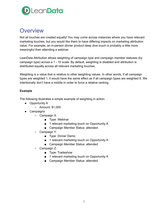

## <span id="page-2-0"></span>**Overview**

Not all touches are created equally! You may come across instances where you have relevant marketing touches, but you would like them to have differing impacts on marketing attribution value. For example, an in-person dinner product deep dive touch is probably a little more meaningful than attending a webinar.

LeanData Attribution allows weighting of campaign type and campaign member statuses (by campaign type) across a 1 - 10 scale. By default, weighting is disabled and attribution is distributed equally across all relevant marketing touches.

Weighting is a value that is relative to other weighting values. In other words, if all campaign types are weighted 1, it would have the same effect as if all campaign types are weighted 6. We intentionally don't have a middle in order to force a relative ranking.

#### **Example**

The following illustrates a simple example of weighting in action:

- Opportunity A
	- Amount: \$1,000
- Campaigns
	- Campaign X:
		- Type: Webinar
		- 1 relevant marketing touch on Opportunity A
		- Campaign Member Status: attended
	- Campaign Y:
		- Type: Dinner Demo
		- 1 relevant marketing touch on Opportunity A
		- Campaign Member Status: attended
	- Campaign Z:
		- Type: Tradeshow
		- 1 relevant marketing touch on Opportunity A
		- Campaign Member Status: attended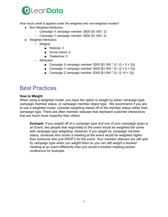

How much credit is applied under the weighted and non-weighted models?

- Non-Weighted Attribution
	- $\circ$  Campaign X campaign member: \$500 (\$1,000 / 2)
	- $\circ$  Campaign Y campaign member: \$500 (\$1,000 / 2)
- Weighted Attribution
	- Weights
		- Webinar: 2
		- Dinner Demo: 5
		- Tradeshow: 3
	- Attribution
		- Campaign X campaign member: \$200 [\$1,000  $*(2/(2+5+3))]$
		- Campaign Y campaign member:  $$500$   $$1,000 * (5 / (2 + 5 + 3))$
		- Campaign Z campaign member:  $$300 [$1,000 * (3 / (2 +5 + 3))]$

## <span id="page-3-0"></span>Best Practices

#### **How to Weight**

When using a weighted model, you have the option to weight by either campaign type, campaign member status, or campaign member object type. We recommend if you are to use a weighted model, consider weighting based off of the member status rather than campaign type. There are often member statuses that represent customer interactions that are much more impactful than others.

*Example: If you weight off of a campaign type and one of your campaign types is an Event, two people that responded to the event would be weighted the same with campaign type weighting. However, if you weight by campaign member status, someone who books a meeting at the event would be weighted higher than someone who just RSVP's for the event. Your member statuses are still split by campaign type when you weight them so you can still weight a booked meeting at an event differently than you would a booked meeting partner conference for example.*